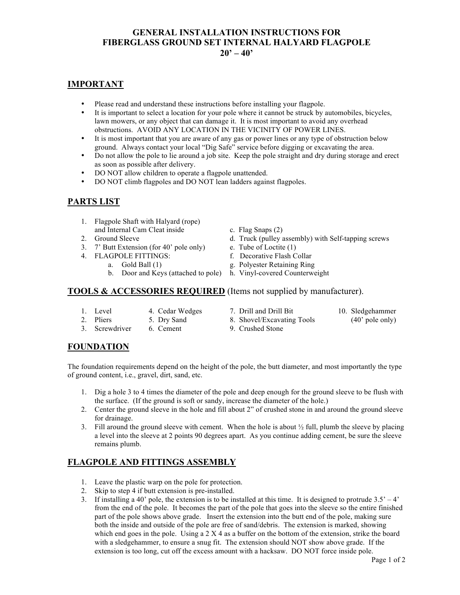### **GENERAL INSTALLATION INSTRUCTIONS FOR FIBERGLASS GROUND SET INTERNAL HALYARD FLAGPOLE**  $20' - 40'$

### **IMPORTANT**

- Please read and understand these instructions before installing your flagpole.
- It is important to select a location for your pole where it cannot be struck by automobiles, bicycles, lawn mowers, or any object that can damage it. It is most important to avoid any overhead obstructions. AVOID ANY LOCATION IN THE VICINITY OF POWER LINES.
- It is most important that you are aware of any gas or power lines or any type of obstruction below ground. Always contact your local "Dig Safe" service before digging or excavating the area.
- Do not allow the pole to lie around a job site. Keep the pole straight and dry during storage and erect as soon as possible after delivery.
- DO NOT allow children to operate a flagpole unattended.
- DO NOT climb flagpoles and DO NOT lean ladders against flagpoles.

## **PARTS LIST**

- 1. Flagpole Shaft with Halyard (rope) and Internal Cam Cleat inside c. Flag Snaps (2)
- 
- 3. 7' Butt Extension (for 40' pole only) e. Tube of Loctite (1)
	- -
		- b. Door and Keys (attached to pole) h. Vinyl-covered Counterweight

- 2. Ground Sleeve **d.** Truck (pulley assembly) with Self-tapping screws
	-
- 4. FLAGPOLE FITTINGS: f. Decorative Flash Collar
	- a. Gold Ball (1) g. Polyester Retaining Ring
		-

#### **TOOLS & ACCESSORIES REQUIRED** (Items not supplied by manufacturer).

- 1. Level 4. Cedar Wedges 7. Drill and Drill Bit 10. Sledgehammer
	-
- 
- 2. Pliers 5. Dry Sand 8. Shovel/Excavating Tools (40' pole only)
- 3. Screwdriver 6. Cement 9. Crushed Stone
- 

#### **FOUNDATION**

The foundation requirements depend on the height of the pole, the butt diameter, and most importantly the type of ground content, i.e., gravel, dirt, sand, etc.

- 1. Dig a hole 3 to 4 times the diameter of the pole and deep enough for the ground sleeve to be flush with the surface. (If the ground is soft or sandy, increase the diameter of the hole.)
- 2. Center the ground sleeve in the hole and fill about 2" of crushed stone in and around the ground sleeve for drainage.
- 3. Fill around the ground sleeve with cement. When the hole is about  $\frac{1}{2}$  full, plumb the sleeve by placing a level into the sleeve at 2 points 90 degrees apart. As you continue adding cement, be sure the sleeve remains plumb.

# **FLAGPOLE AND FITTINGS ASSEMBLY**

- 1. Leave the plastic warp on the pole for protection.
- 2. Skip to step 4 if butt extension is pre-installed.
- 3. If installing a 40' pole, the extension is to be installed at this time. It is designed to protrude  $3.5' 4'$ from the end of the pole. It becomes the part of the pole that goes into the sleeve so the entire finished part of the pole shows above grade. Insert the extension into the butt end of the pole, making sure both the inside and outside of the pole are free of sand/debris. The extension is marked, showing which end goes in the pole. Using a  $2 \times 4$  as a buffer on the bottom of the extension, strike the board with a sledgehammer, to ensure a snug fit. The extension should NOT show above grade. If the extension is too long, cut off the excess amount with a hacksaw. DO NOT force inside pole.